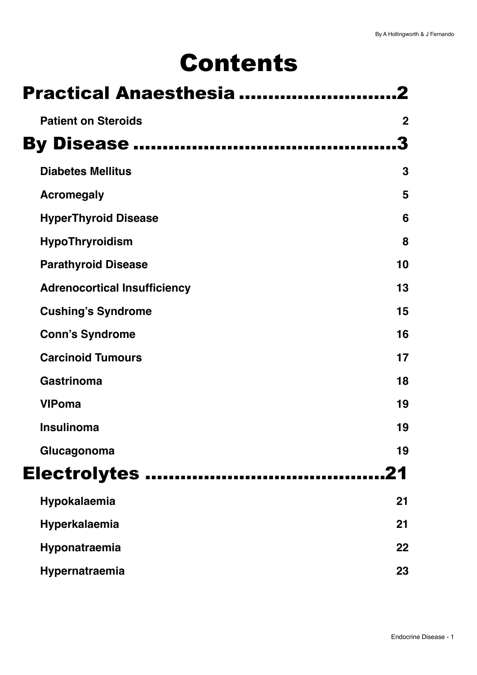# Contents

| <b>Practical Anaesthesia </b>       |             |  |
|-------------------------------------|-------------|--|
| <b>Patient on Steroids</b>          | $\mathbf 2$ |  |
| <b>By Disease </b>                  |             |  |
| <b>Diabetes Mellitus</b>            | 3           |  |
| <b>Acromegaly</b>                   | 5           |  |
| <b>HyperThyroid Disease</b>         | 6           |  |
| <b>HypoThryroidism</b>              | 8           |  |
| <b>Parathyroid Disease</b>          | 10          |  |
| <b>Adrenocortical Insufficiency</b> | 13          |  |
| <b>Cushing's Syndrome</b>           | 15          |  |
| <b>Conn's Syndrome</b>              | 16          |  |
| <b>Carcinoid Tumours</b>            | 17          |  |
| <b>Gastrinoma</b>                   | 18          |  |
| <b>VIPoma</b>                       | 19          |  |
| <b>Insulinoma</b>                   | 19          |  |
| Glucagonoma                         | 19          |  |
|                                     | 21          |  |
| Hypokalaemia                        | 21          |  |
| Hyperkalaemia                       | 21          |  |
| Hyponatraemia                       | 22          |  |
| Hypernatraemia                      | 23          |  |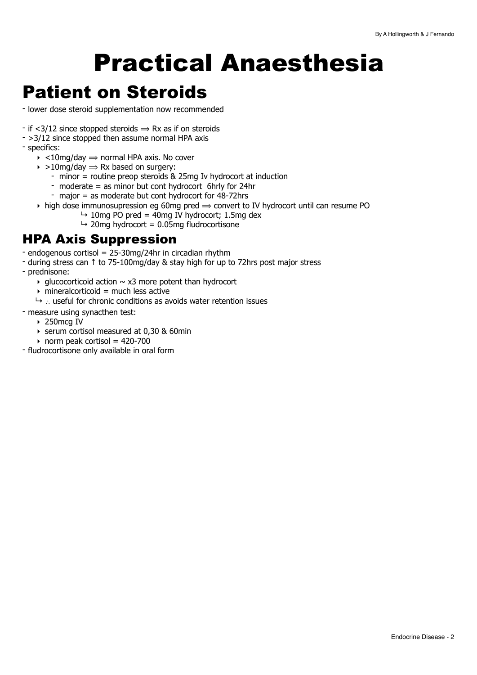# <span id="page-1-0"></span>Practical Anaesthesia

## <span id="page-1-1"></span>Patient on Steroids

- lower dose steroid supplementation now recommended
- if  $\langle 3/12 \rangle$  since stopped steroids  $\Rightarrow$  Rx as if on steroids
- >3/12 since stopped then assume normal HPA axis
- specifics:
	- $\rightarrow$  <10mg/day  $\rightarrow$  normal HPA axis. No cover
	- $\rightarrow$  >10mg/day  $\rightarrow$  Rx based on surgery:
		- minor = routine preop steroids & 25mg Iv hydrocort at induction
		- moderate = as minor but cont hydrocort 6hrly for 24hr
		- major = as moderate but cont hydrocort for 48-72hrs
	- $\rightarrow$  high dose immunosupression eg 60mg pred  $\Rightarrow$  convert to IV hydrocort until can resume PO
		- $\rightarrow$  10mg PO pred = 40mg IV hydrocort; 1.5mg dex
		- $\rightarrow$  20mg hydrocort = 0.05mg fludrocortisone

### HPA Axis Suppression

- endogenous cortisol = 25-30mg/24hr in circadian rhythm
- during stress can ↑ to 75-100mg/day & stay high for up to 72hrs post major stress
- prednisone:
	- glucocorticoid action  $\sim x3$  more potent than hydrocort
	- $\rightarrow$  mineralcorticoid = much less active
	- ↳ ∴ useful for chronic conditions as avoids water retention issues
- measure using synacthen test:
	- ‣ 250mcg IV
	- ‣ serum cortisol measured at 0,30 & 60min
	- norm peak cortisol =  $420-700$
- fludrocortisone only available in oral form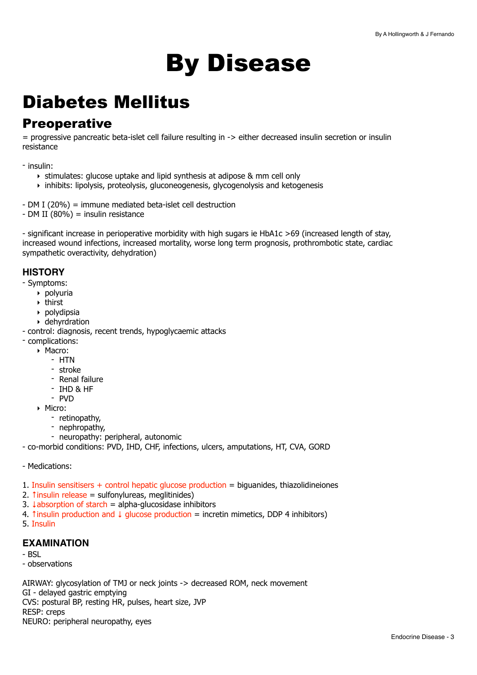# <span id="page-2-0"></span>By Disease

## <span id="page-2-1"></span>Diabetes Mellitus

### **Preoperative**

= progressive pancreatic beta-islet cell failure resulting in -> either decreased insulin secretion or insulin resistance

- insulin:

- ‣ stimulates: glucose uptake and lipid synthesis at adipose & mm cell only
- ‣ inhibits: lipolysis, proteolysis, gluconeogenesis, glycogenolysis and ketogenesis
- DM I (20%) = immune mediated beta-islet cell destruction
- DM II (80%) = insulin resistance

- significant increase in perioperative morbidity with high sugars ie HbA1c >69 (increased length of stay, increased wound infections, increased mortality, worse long term prognosis, prothrombotic state, cardiac sympathetic overactivity, dehydration)

#### **HISTORY**

- Symptoms:

- ‣ polyuria
- $\rightarrow$  thirst
- ‣ polydipsia
- ‣ dehyrdration
- control: diagnosis, recent trends, hypoglycaemic attacks
- complications:
	- ‣ Macro:
		- HTN
		- stroke
		- Renal failure
		- IHD & HF
		- PVD
	- ‣ Micro:
		- retinopathy,
		- nephropathy,
		- neuropathy: peripheral, autonomic
- co-morbid conditions: PVD, IHD, CHF, infections, ulcers, amputations, HT, CVA, GORD
- Medications:
- 1. Insulin sensitisers + control hepatic glucose production = biguanides, thiazolidineiones
- 2. *thinsulin release = sulfonylureas*, meglitinides)
- 3.  $\downarrow$ absorption of starch = alpha-glucosidase inhibitors
- 4. Tinsulin production and  $\downarrow$  glucose production = incretin mimetics, DDP 4 inhibitors)
- 5. Insulin

#### **EXAMINATION**

- BSL
- observations

AIRWAY: glycosylation of TMJ or neck joints -> decreased ROM, neck movement GI - delayed gastric emptying CVS: postural BP, resting HR, pulses, heart size, JVP RESP: creps NEURO: peripheral neuropathy, eyes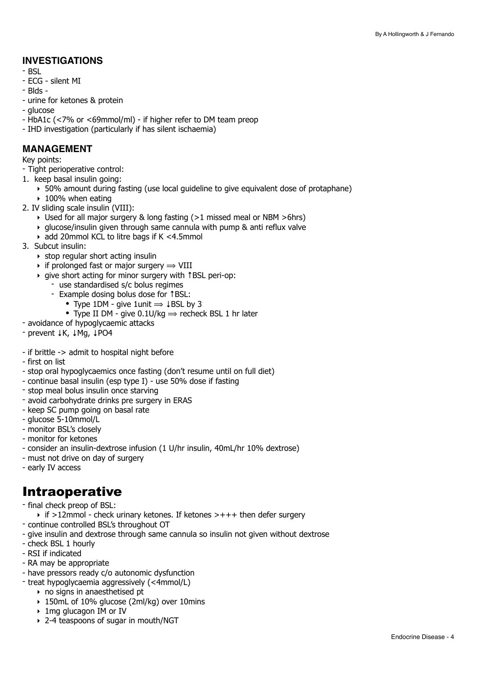#### **INVESTIGATIONS**

- BSL
- ECG silent MI
- Blds -
- urine for ketones & protein
- glucose
- HbA1c (<7% or <69mmol/ml) if higher refer to DM team preop
- IHD investigation (particularly if has silent ischaemia)

#### **MANAGEMENT**

Key points:

- Tight perioperative control:
- 1. keep basal insulin going:
	- ‣ 50% amount during fasting (use local guideline to give equivalent dose of protaphane) ▶ 100% when eating
- 2. IV sliding scale insulin (VIII):
	- ‣ Used for all major surgery & long fasting (>1 missed meal or NBM >6hrs)
	- $\rightarrow$  glucose/insulin given through same cannula with pump & anti reflux valve
	- ‣ add 20mmol KCL to litre bags if K <4.5mmol
- 3. Subcut insulin:
	- $\rightarrow$  stop regular short acting insulin
	- $\rightarrow$  if prolonged fast or major surgery  $\rightarrow$  VIII
	- ‣ give short acting for minor surgery with ↑BSL peri-op:
		- use standardised s/c bolus regimes
		- Example dosing bolus dose for ↑BSL:
			- Type 1DM give 1unit  $\Rightarrow$   $\downarrow$  BSL by 3
			- Type II DM give 0.1U/kg  $\Rightarrow$  recheck BSL 1 hr later
- avoidance of hypoglycaemic attacks
- prevent ↓K, ↓Mg, ↓PO4
- if brittle -> admit to hospital night before
- first on list
- stop oral hypoglycaemics once fasting (don't resume until on full diet)
- continue basal insulin (esp type I) use 50% dose if fasting
- stop meal bolus insulin once starving
- avoid carbohydrate drinks pre surgery in ERAS
- keep SC pump going on basal rate
- glucose 5-10mmol/L
- monitor BSL's closely
- monitor for ketones
- consider an insulin-dextrose infusion (1 U/hr insulin, 40mL/hr 10% dextrose)
- must not drive on day of surgery
- early IV access

## Intraoperative

- final check preop of BSL:
- $\rightarrow$  if >12mmol check urinary ketones. If ketones >+++ then defer surgery
- continue controlled BSL's throughout OT
- give insulin and dextrose through same cannula so insulin not given without dextrose
- check BSL 1 hourly
- RSI if indicated
- RA may be appropriate
- have pressors ready c/o autonomic dysfunction
- treat hypoglycaemia aggressively (<4mmol/L)
	- ‣ no signs in anaesthetised pt
	- ‣ 150mL of 10% glucose (2ml/kg) over 10mins
	- ‣ 1mg glucagon IM or IV
	- ‣ 2-4 teaspoons of sugar in mouth/NGT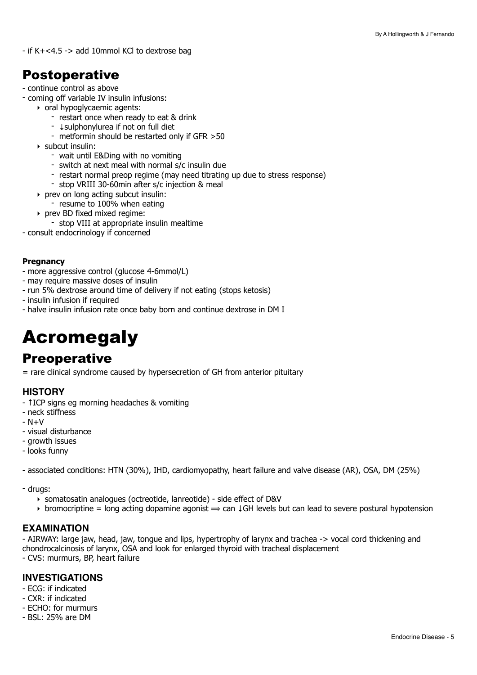- if K+<4.5 -> add 10mmol KCl to dextrose bag

## Postoperative

- continue control as above
- coming off variable IV insulin infusions:
	- ‣ oral hypoglycaemic agents:
		- restart once when ready to eat & drink
		- ↓sulphonylurea if not on full diet
		- metformin should be restarted only if GFR >50
	- ‣ subcut insulin:
		- wait until E&Ding with no vomiting
		- switch at next meal with normal s/c insulin due
		- restart normal preop regime (may need titrating up due to stress response)
		- stop VRIII 30-60min after s/c injection & meal
	- ‣ prev on long acting subcut insulin:
		- resume to 100% when eating
	- ‣ prev BD fixed mixed regime:
		- stop VIII at appropriate insulin mealtime
- consult endocrinology if concerned

#### **Pregnancy**

- more aggressive control (glucose 4-6mmol/L)
- may require massive doses of insulin
- run 5% dextrose around time of delivery if not eating (stops ketosis)
- insulin infusion if required
- halve insulin infusion rate once baby born and continue dextrose in DM I

## <span id="page-4-0"></span>Acromegaly

## **Preoperative**

= rare clinical syndrome caused by hypersecretion of GH from anterior pituitary

#### **HISTORY**

- ↑ICP signs eg morning headaches & vomiting
- neck stiffness
- $N+V$
- visual disturbance
- growth issues
- looks funny

- associated conditions: HTN (30%), IHD, cardiomyopathy, heart failure and valve disease (AR), OSA, DM (25%)

- drugs:
	- ‣ somatosatin analogues (octreotide, lanreotide) side effect of D&V
	- $\rightarrow$  bromocriptine = long acting dopamine agonist  $\rightarrow$  can ↓GH levels but can lead to severe postural hypotension

#### **EXAMINATION**

- AIRWAY: large jaw, head, jaw, tongue and lips, hypertrophy of larynx and trachea -> vocal cord thickening and chondrocalcinosis of larynx, OSA and look for enlarged thyroid with tracheal displacement

- CVS: murmurs, BP, heart failure

#### **INVESTIGATIONS**

- ECG: if indicated
- CXR: if indicated
- ECHO: for murmurs
- BSL: 25% are DM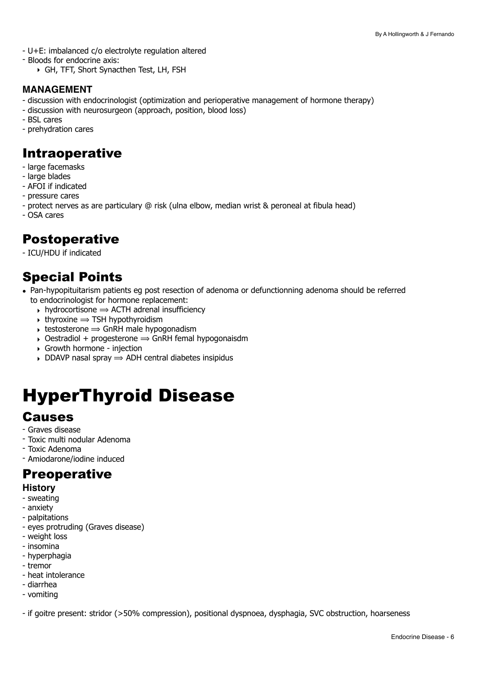- U+E: imbalanced c/o electrolyte regulation altered
- Bloods for endocrine axis:
	- ‣ GH, TFT, Short Synacthen Test, LH, FSH

#### **MANAGEMENT**

- discussion with endocrinologist (optimization and perioperative management of hormone therapy)
- discussion with neurosurgeon (approach, position, blood loss)
- BSL cares
- prehydration cares

### Intraoperative

- large facemasks
- large blades
- AFOI if indicated
- pressure cares
- protect nerves as are particulary @ risk (ulna elbow, median wrist & peroneal at fibula head)
- OSA cares

## Postoperative

- ICU/HDU if indicated

## Special Points

- Pan-hypopituitarism patients eg post resection of adenoma or defunctionning adenoma should be referred to endocrinologist for hormone replacement:
	- $\rightarrow$  hydrocortisone  $\rightarrow$  ACTH adrenal insufficiency
	- $\rightarrow$  thyroxine  $\rightarrow$  TSH hypothyroidism
	- $\rightarrow$  testosterone  $\rightarrow$  GnRH male hypogonadism
	- $\rightarrow$  Oestradiol + progesterone  $\rightarrow$  GnRH femal hypogonaisdm
	- ‣ Growth hormone injection
	- $\rightarrow$  DDAVP nasal spray  $\rightarrow$  ADH central diabetes insipidus

## <span id="page-5-0"></span>HyperThyroid Disease

### **Causes**

- Graves disease
- Toxic multi nodular Adenoma
- Toxic Adenoma
- Amiodarone/iodine induced

### **Preoperative**

#### **History**

- sweating
- anxiety
- palpitations
- eyes protruding (Graves disease)
- weight loss
- insomina
- hyperphagia
- tremor
- heat intolerance
- diarrhea - vomiting

- if goitre present: stridor (>50% compression), positional dyspnoea, dysphagia, SVC obstruction, hoarseness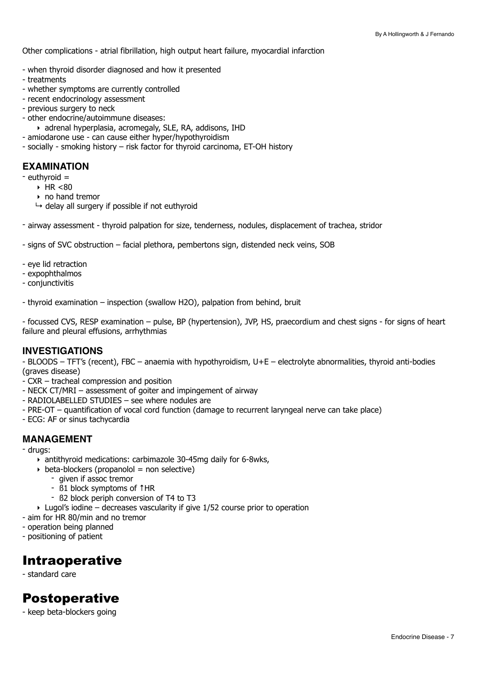Other complications - atrial fibrillation, high output heart failure, myocardial infarction

- when thyroid disorder diagnosed and how it presented
- treatments
- whether symptoms are currently controlled
- recent endocrinology assessment
- previous surgery to neck
- other endocrine/autoimmune diseases:
	- ‣ adrenal hyperplasia, acromegaly, SLE, RA, addisons, IHD
- amiodarone use can cause either hyper/hypothyroidism
- socially smoking history risk factor for thyroid carcinoma, ET-OH history

#### **EXAMINATION**

- euthyroid =
	- $\triangleright$  HR <80
	- ‣ no hand tremor
	- $\rightarrow$  delay all surgery if possible if not euthyroid
- airway assessment thyroid palpation for size, tenderness, nodules, displacement of trachea, stridor
- signs of SVC obstruction facial plethora, pembertons sign, distended neck veins, SOB
- eye lid retraction
- expophthalmos
- conjunctivitis

- thyroid examination – inspection (swallow H2O), palpation from behind, bruit

- focussed CVS, RESP examination – pulse, BP (hypertension), JVP, HS, praecordium and chest signs - for signs of heart failure and pleural effusions, arrhythmias

#### **INVESTIGATIONS**

- BLOODS – TFT's (recent), FBC – anaemia with hypothyroidism, U+E – electrolyte abnormalities, thyroid anti-bodies (graves disease)

- CXR tracheal compression and position
- NECK CT/MRI assessment of goiter and impingement of airway
- RADIOLABELLED STUDIES see where nodules are
- PRE-OT quantification of vocal cord function (damage to recurrent laryngeal nerve can take place)
- ECG: AF or sinus tachycardia

#### **MANAGEMENT**

- drugs:
	- ‣ antithyroid medications: carbimazole 30-45mg daily for 6-8wks,
	- $\rightarrow$  beta-blockers (propanolol = non selective)
		- given if assoc tremor
		- ß1 block symptoms of ↑HR
		- ß2 block periph conversion of T4 to T3
	- $\rightarrow$  Lugol's iodine decreases vascularity if give 1/52 course prior to operation
- aim for HR 80/min and no tremor
- operation being planned
- positioning of patient

#### Intraoperative

- standard care

## Postoperative

- keep beta-blockers going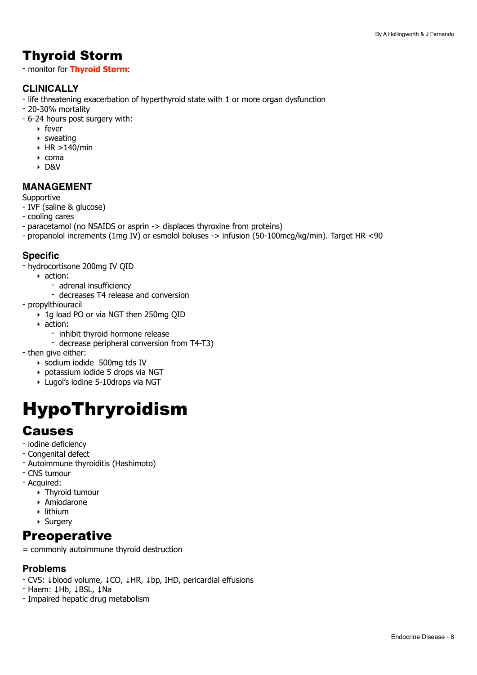## Thyroid Storm

- monitor for **Thyroid Storm**:

#### **CLINICALLY**

- life threatening exacerbation of hyperthyroid state with 1 or more organ dysfunction
- 20-30% mortality
- 6-24 hours post surgery with:
	- ‣ fever
	- ‣ sweating
	- $\triangleright$  HR  $>$ 140/min
	- ‣ coma
	- ‣ D&V

#### **MANAGEMENT**

#### **Supportive**

- IVF (saline & glucose)
- cooling cares
- paracetamol (no NSAIDS or asprin -> displaces thyroxine from proteins)
- propanolol increments (1mg IV) or esmolol boluses -> infusion (50-100mcg/kg/min). Target HR <90

#### **Specific**

- hydrocortisone 200mg IV QID
- ‣ action:
	- adrenal insufficiency
	- decreases T4 release and conversion
- propylthiouracil
	- ‣ 1g load PO or via NGT then 250mg QID
	- ‣ action:
		- inhibit thyroid hormone release
			- decrease peripheral conversion from T4-T3)
- then give either:
	- ‣ sodium iodide 500mg tds IV
	- ‣ potassium iodide 5 drops via NGT
	- ‣ Lugol's iodine 5-10drops via NGT

## <span id="page-7-0"></span>HypoThryroidism

## Causes

- iodine deficiency
- Congenital defect
- Autoimmune thyroiditis (Hashimoto)
- CNS tumour
- Acquired:
	- ‣ Thyroid tumour
	- ‣ Amiodarone
	- ‣ lithium
	- ‣ Surgery

### **Preoperative**

= commonly autoimmune thyroid destruction

#### **Problems**

- CVS: ↓blood volume, ↓CO, ↓HR, ↓bp, IHD, pericardial effusions
- Haem: ↓Hb, ↓BSL, ↓Na
- Impaired hepatic drug metabolism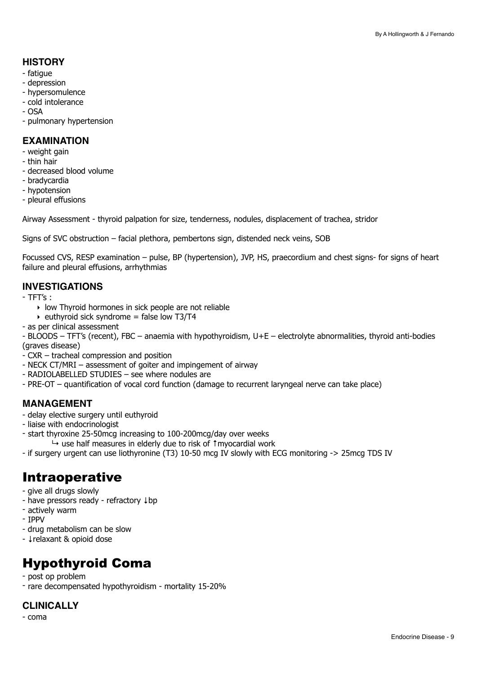#### **HISTORY**

- fatigue
- depression
- hypersomulence
- cold intolerance
- $-$  OSA
- pulmonary hypertension

#### **EXAMINATION**

- weight gain
- thin hair
- decreased blood volume
- bradycardia
- hypotension
- pleural effusions

Airway Assessment - thyroid palpation for size, tenderness, nodules, displacement of trachea, stridor

Signs of SVC obstruction – facial plethora, pembertons sign, distended neck veins, SOB

Focussed CVS, RESP examination – pulse, BP (hypertension), JVP, HS, praecordium and chest signs- for signs of heart failure and pleural effusions, arrhythmias

#### **INVESTIGATIONS**

- TFT's :
	- ‣ low Thyroid hormones in sick people are not reliable
	- $\rightarrow$  euthyroid sick syndrome = false low T3/T4
- as per clinical assessment

- BLOODS – TFT's (recent), FBC – anaemia with hypothyroidism, U+E – electrolyte abnormalities, thyroid anti-bodies (graves disease)

- CXR tracheal compression and position
- NECK CT/MRI assessment of goiter and impingement of airway
- RADIOLABELLED STUDIES see where nodules are
- PRE-OT quantification of vocal cord function (damage to recurrent laryngeal nerve can take place)

#### **MANAGEMENT**

- delay elective surgery until euthyroid
- liaise with endocrinologist
- start thyroxine 25-50mcg increasing to 100-200mcg/day over weeks ↳ use half measures in elderly due to risk of ↑myocardial work
- if surgery urgent can use liothyronine (T3) 10-50 mcg IV slowly with ECG monitoring -> 25mcg TDS IV

## Intraoperative

- give all drugs slowly
- have pressors ready refractory ↓bp
- actively warm
- IPPV
- drug metabolism can be slow
- ↓relaxant & opioid dose

## Hypothyroid Coma

- post op problem
- rare decompensated hypothyroidism mortality 15-20%

#### **CLINICALLY**

- coma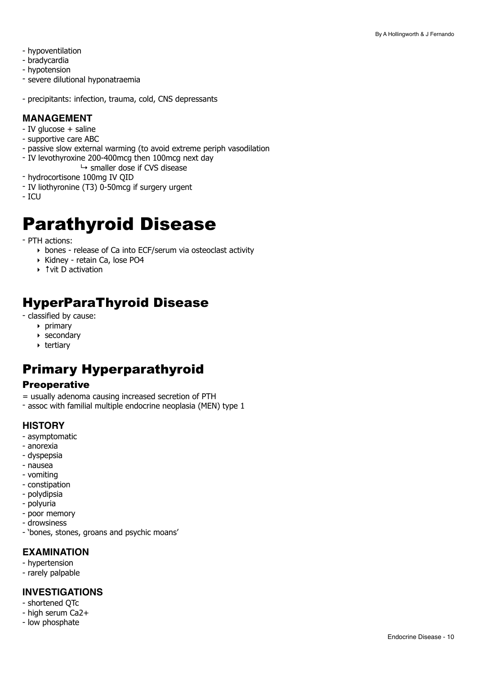- hypoventilation
- bradycardia
- hypotension
- severe dilutional hyponatraemia
- precipitants: infection, trauma, cold, CNS depressants

#### **MANAGEMENT**

- IV glucose + saline
- supportive care ABC
- passive slow external warming (to avoid extreme periph vasodilation
- IV levothyroxine 200-400mcg then 100mcg next day
- $\mapsto$  smaller dose if CVS disease
- hydrocortisone 100mg IV QID
- IV liothyronine (T3) 0-50mcg if surgery urgent
- $-$  ICU

## <span id="page-9-0"></span>Parathyroid Disease

- PTH actions:

- ‣ bones release of Ca into ECF/serum via osteoclast activity
- ‣ Kidney retain Ca, lose PO4
- ‣ ↑vit D activation

## HyperParaThyroid Disease

- classified by cause:
	- ‣ primary
	- ‣ secondary
	- ‣ tertiary

## Primary Hyperparathyroid

#### **Preoperative**

- = usually adenoma causing increased secretion of PTH
- assoc with familial multiple endocrine neoplasia (MEN) type 1

#### **HISTORY**

- asymptomatic
- anorexia
- dyspepsia
- nausea
- vomiting
- constipation
- polydipsia
- polyuria
- poor memory
- drowsiness
- 'bones, stones, groans and psychic moans'

#### **EXAMINATION**

- hypertension
- rarely palpable

#### **INVESTIGATIONS**

- shortened QTc
- high serum Ca2+
- low phosphate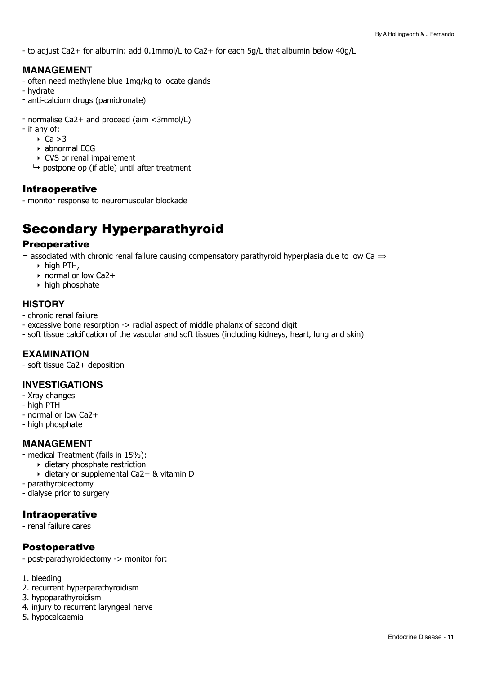- to adjust Ca2+ for albumin: add 0.1mmol/L to Ca2+ for each 5g/L that albumin below 40g/L

#### **MANAGEMENT**

- often need methylene blue 1mg/kg to locate glands
- hydrate
- anti-calcium drugs (pamidronate)
- normalise Ca2+ and proceed (aim <3mmol/L)
- if any of:
	- $\triangleright$  Ca  $>3$
	- ‣ abnormal ECG
	- ‣ CVS or renal impairement
	- $\mapsto$  postpone op (if able) until after treatment

#### Intraoperative

- monitor response to neuromuscular blockade

## Secondary Hyperparathyroid

#### **Preoperative**

= associated with chronic renal failure causing compensatory parathyroid hyperplasia due to low Ca  $\Rightarrow$ 

- $\triangleright$  high PTH,
- ‣ normal or low Ca2+
- ‣ high phosphate

#### **HISTORY**

- chronic renal failure
- excessive bone resorption -> radial aspect of middle phalanx of second digit
- soft tissue calcification of the vascular and soft tissues (including kidneys, heart, lung and skin)

#### **EXAMINATION**

- soft tissue Ca2+ deposition

#### **INVESTIGATIONS**

- Xray changes
- high PTH
- normal or low Ca2+
- high phosphate

#### **MANAGEMENT**

- medical Treatment (fails in 15%):
	- ‣ dietary phosphate restriction
	- ‣ dietary or supplemental Ca2+ & vitamin D
- parathyroidectomy
- dialyse prior to surgery

#### Intraoperative

- renal failure cares

#### Postoperative

- post-parathyroidectomy -> monitor for:
- 1. bleeding
- 2. recurrent hyperparathyroidism
- 3. hypoparathyroidism
- 4. injury to recurrent laryngeal nerve
- 5. hypocalcaemia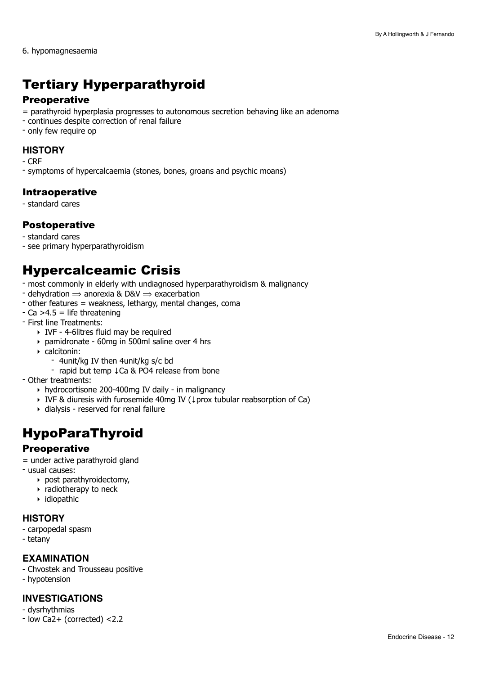6. hypomagnesaemia

## Tertiary Hyperparathyroid

#### **Preoperative**

- = parathyroid hyperplasia progresses to autonomous secretion behaving like an adenoma
- continues despite correction of renal failure
- only few require op

#### **HISTORY**

- CRF
- symptoms of hypercalcaemia (stones, bones, groans and psychic moans)

#### Intraoperative

- standard cares

#### Postoperative

- standard cares
- see primary hyperparathyroidism

## Hypercalceamic Crisis

- most commonly in elderly with undiagnosed hyperparathyroidism & malignancy
- dehydration  $\Rightarrow$  anorexia & D&V  $\Rightarrow$  exacerbation
- other features = weakness, lethargy, mental changes, coma
- $-Ca > 4.5$  = life threatening
- First line Treatments:
	- ‣ IVF 4-6litres fluid may be required
	- ‣ pamidronate 60mg in 500ml saline over 4 hrs
	- ‣ calcitonin:
		- 4unit/kg IV then 4unit/kg s/c bd
			- rapid but temp ↓Ca & PO4 release from bone
- Other treatments:
	- ‣ hydrocortisone 200-400mg IV daily in malignancy
	- ‣ IVF & diuresis with furosemide 40mg IV (↓prox tubular reabsorption of Ca)
	- ‣ dialysis reserved for renal failure

## HypoParaThyroid

#### **Preoperative**

= under active parathyroid gland

- usual causes:
	- ‣ post parathyroidectomy,
	- ‣ radiotherapy to neck
	- ‣ idiopathic

#### **HISTORY**

- carpopedal spasm
- tetany

#### **EXAMINATION**

- Chvostek and Trousseau positive
- hypotension

#### **INVESTIGATIONS**

- dysrhythmias
- low Ca2+ (corrected) <2.2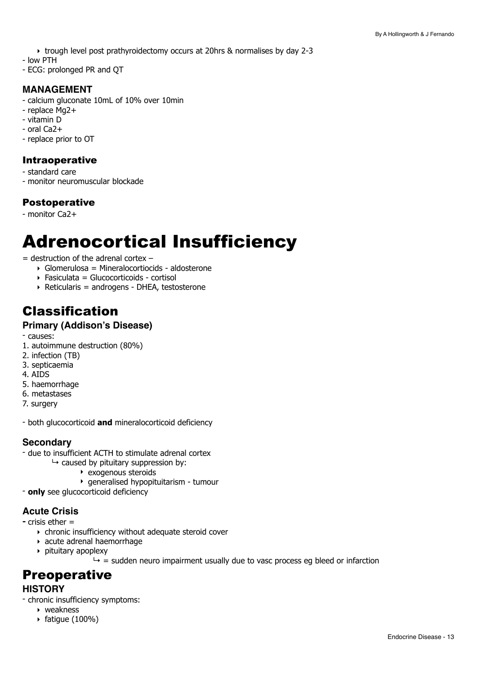- ‣ trough level post prathyroidectomy occurs at 20hrs & normalises by day 2-3
- low PTH
- ECG: prolonged PR and QT

#### **MANAGEMENT**

- calcium gluconate 10mL of 10% over 10min
- replace Mg2+
- vitamin D
- oral Ca2+
- replace prior to OT

#### Intraoperative

- standard care
- monitor neuromuscular blockade

#### Postoperative

- monitor Ca2+

## <span id="page-12-0"></span>Adrenocortical Insufficiency

 $=$  destruction of the adrenal cortex  $-$ 

- ‣ Glomerulosa = Mineralocortiocids aldosterone
- ‣ Fasiculata = Glucocorticoids cortisol
- ‣ Reticularis = androgens DHEA, testosterone

## Classification

#### **Primary (Addison's Disease)**

- causes:

- 1. autoimmune destruction (80%)
- 2. infection (TB)
- 3. septicaemia
- 4. AIDS
- 5. haemorrhage
- 6. metastases
- 7. surgery

- both glucocorticoid **and** mineralocorticoid deficiency

#### **Secondary**

- due to insufficient ACTH to stimulate adrenal cortex

- $\mapsto$  caused by pituitary suppression by:
	- ‣ exogenous steroids
	- ‣ generalised hypopituitarism tumour
- **only** see glucocorticoid deficiency

#### **Acute Crisis**

**-** crisis ether =

- ‣ chronic insufficiency without adequate steroid cover
- ‣ acute adrenal haemorrhage
- ‣ pituitary apoplexy

 $\rightarrow$  = sudden neuro impairment usually due to vasc process eg bleed or infarction

### **Preoperative**

#### **HISTORY**

- chronic insufficiency symptoms:
	- ‣ weakness
	- $\triangleright$  fatigue (100%)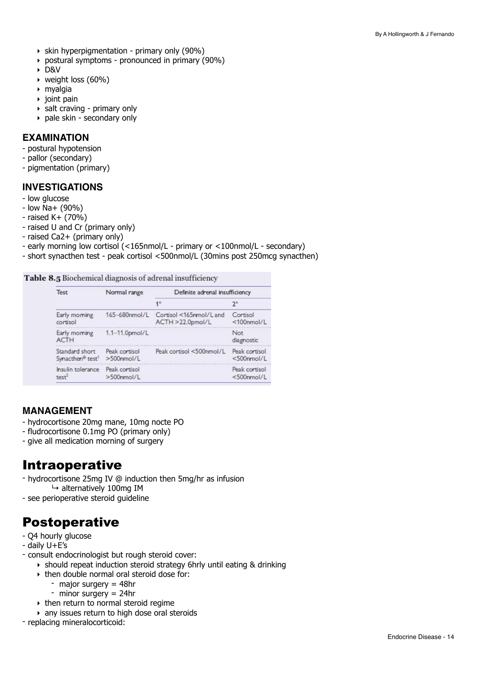- $\rightarrow$  skin hyperpigmentation primary only (90%)
- ‣ postural symptoms pronounced in primary (90%)
- ‣ D&V
- ‣ weight loss (60%)
- ‣ myalgia
- $\rightarrow$  ioint pain
- $\rightarrow$  salt craving primary only
- ‣ pale skin secondary only

#### **EXAMINATION**

- postural hypotension
- pallor (secondary)
- pigmentation (primary)

#### **INVESTIGATIONS**

- low glucose
- low Na+ (90%)
- $-$  raised K $+$  (70%)
- raised U and Cr (primary only)
- raised Ca2+ (primary only)
- early morning low cortisol (<165nmol/L primary or <100nmol/L secondary)
- short synacthen test peak cortisol <500nmol/L (30mins post 250mcg synacthen)

Table 8.5 Biochemical diagnosis of adrenal insufficiency

| <b>Test</b>                              | Normal range   | Definite adrenal insufficiency |                   |
|------------------------------------------|----------------|--------------------------------|-------------------|
|                                          |                | 1°                             | 2°                |
| Early morning                            | 165-680nmol/L  | Cortisol <165nmol/L and        | Cortisol          |
| cortisol                                 |                | ACTH >22.0pmol/L               | $<$ 100nmol/L     |
| Early morning<br><b>ACTH</b>             | 1.1-11.0pmol/L |                                | Not<br>diagnostic |
| Standard short                           | Peak cortisol  | Peak cortisol <500nmol/L       | Peak cortisol     |
| Synacthen <sup>®</sup> test <sup>1</sup> | $>500$ nmol/L  |                                | $<$ 500nmol/L     |
| Insulin tolerance                        | Peak cortisol  |                                | Peak cortisol     |
| test <sup>2</sup>                        | $>500$ nmol/L  |                                | $<$ 500nmol/L     |

#### **MANAGEMENT**

- hydrocortisone 20mg mane, 10mg nocte PO
- fludrocortisone 0.1mg PO (primary only)
- give all medication morning of surgery

### Intraoperative

- hydrocortisone 25mg IV @ induction then 5mg/hr as infusion  $\mapsto$  alternatively 100mg IM
- see perioperative steroid guideline

## Postoperative

- Q4 hourly glucose
- daily U+E's
- consult endocrinologist but rough steroid cover:
	- ‣ should repeat induction steroid strategy 6hrly until eating & drinking
	- ‣ then double normal oral steroid dose for:
		- major surgery = 48hr
		- $-$  minor surgery = 24hr
	- $\rightarrow$  then return to normal steroid regime
	- ‣ any issues return to high dose oral steroids
- replacing mineralocorticoid: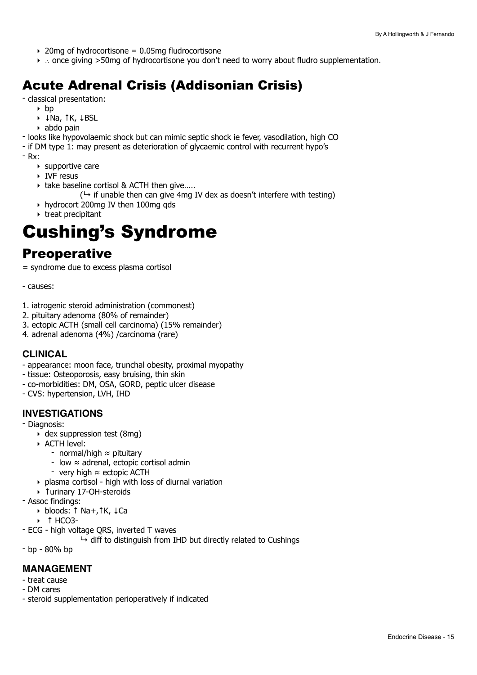- $\rightarrow$  20mg of hydrocortisone = 0.05mg fludrocortisone
- ‣ ∴ once giving >50mg of hydrocortisone you don't need to worry about fludro supplementation.

## Acute Adrenal Crisis (Addisonian Crisis)

- classical presentation:

- $\rightarrow$  hp
	- ‣ ↓Na, ↑K, ↓BSL
- ‣ abdo pain

- looks like hypovolaemic shock but can mimic septic shock ie fever, vasodilation, high CO

- if DM type 1: may present as deterioration of glycaemic control with recurrent hypo's

- Rx:

- ‣ supportive care
- ‣ IVF resus
- ‣ take baseline cortisol & ACTH then give…..

 $(\rightarrow$  if unable then can give 4mg IV dex as doesn't interfere with testing)

- ‣ hydrocort 200mg IV then 100mg qds
- ‣ treat precipitant

## <span id="page-14-0"></span>Cushing's Syndrome

### **Preoperative**

= syndrome due to excess plasma cortisol

- causes:

- 1. iatrogenic steroid administration (commonest)
- 2. pituitary adenoma (80% of remainder)
- 3. ectopic ACTH (small cell carcinoma) (15% remainder)
- 4. adrenal adenoma (4%) /carcinoma (rare)

#### **CLINICAL**

- appearance: moon face, trunchal obesity, proximal myopathy
- tissue: Osteoporosis, easy bruising, thin skin
- co-morbidities: DM, OSA, GORD, peptic ulcer disease
- CVS: hypertension, LVH, IHD

#### **INVESTIGATIONS**

- Diagnosis:

- ‣ dex suppression test (8mg)
- ‣ ACTH level:
	- normal/high ≈ pituitary
	- low ≈ adrenal, ectopic cortisol admin
	- very high ≈ ectopic ACTH
- ‣ plasma cortisol high with loss of diurnal variation
- ‣ ↑urinary 17-OH-steroids
- Assoc findings:
	- ‣ bloods: ↑ Na+,↑K, ↓Ca
	- ‣ ↑ HCO3-
- ECG high voltage QRS, inverted T waves
	- $\rightarrow$  diff to distinguish from IHD but directly related to Cushings
- bp 80% bp

#### **MANAGEMENT**

- treat cause
- DM cares
- steroid supplementation perioperatively if indicated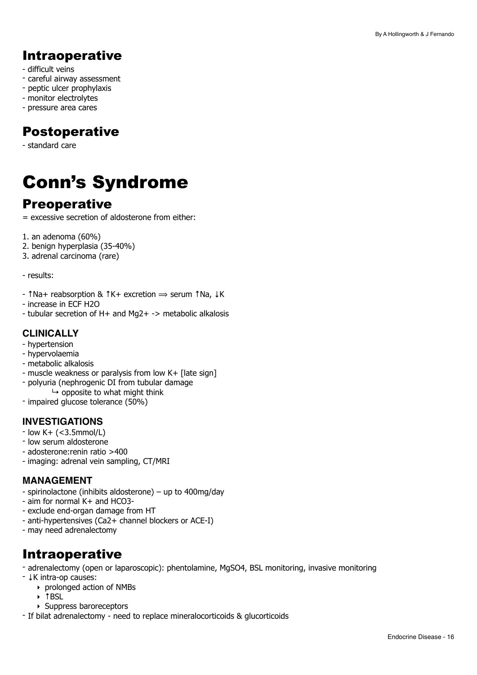## Intraoperative

- difficult veins
- careful airway assessment
- peptic ulcer prophylaxis
- monitor electrolytes
- pressure area cares

## Postoperative

- standard care

## <span id="page-15-0"></span>Conn's Syndrome

## **Preoperative**

- = excessive secretion of aldosterone from either:
- 1. an adenoma (60%)
- 2. benign hyperplasia (35-40%)
- 3. adrenal carcinoma (rare)

- results:

- ↑Na+ reabsorption & ↑K+ excretion ⟹ serum ↑Na, ↓K
- increase in ECF H2O
- tubular secretion of H+ and Mg2+ -> metabolic alkalosis

#### **CLINICALLY**

- hypertension
- hypervolaemia
- metabolic alkalosis
- muscle weakness or paralysis from low K+ [late sign]
- polyuria (nephrogenic DI from tubular damage
- $\mapsto$  opposite to what might think
- impaired glucose tolerance (50%)

#### **INVESTIGATIONS**

- $-$  low K $+$  (<3.5mmol/L)
- low serum aldosterone
- adosterone:renin ratio >400
- imaging: adrenal vein sampling, CT/MRI

#### **MANAGEMENT**

- spirinolactone (inhibits aldosterone) up to 400mg/day
- aim for normal K+ and HCO3-
- exclude end-organ damage from HT
- anti-hypertensives (Ca2+ channel blockers or ACE-I)
- may need adrenalectomy

## Intraoperative

- adrenalectomy (open or laparoscopic): phentolamine, MgSO4, BSL monitoring, invasive monitoring
- ↓K intra-op causes:
	- ‣ prolonged action of NMBs
	- ‣ ↑BSL
	- ‣ Suppress baroreceptors
- If bilat adrenalectomy need to replace mineralocorticoids & glucorticoids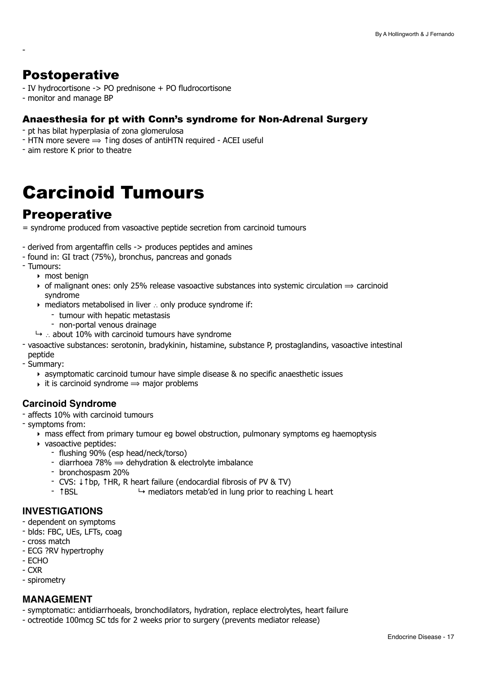## Postoperative

-

- IV hydrocortisone -> PO prednisone + PO fludrocortisone
- monitor and manage BP

#### Anaesthesia for pt with Conn's syndrome for Non-Adrenal Surgery

- pt has bilat hyperplasia of zona glomerulosa
- $-$  HTN more severe  $\Rightarrow$  1 ing doses of antiHTN required ACEI useful
- aim restore K prior to theatre

## <span id="page-16-0"></span>Carcinoid Tumours

## **Preoperative**

= syndrome produced from vasoactive peptide secretion from carcinoid tumours

- derived from argentaffin cells -> produces peptides and amines
- found in: GI tract (75%), bronchus, pancreas and gonads
- Tumours:
	- ‣ most benign
	- $\rightarrow$  of malignant ones: only 25% release vasoactive substances into systemic circulation  $\rightarrow$  carcinoid syndrome
	- ‣ mediators metabolised in liver ∴ only produce syndrome if:
		- tumour with hepatic metastasis
		- non-portal venous drainage
	- ↳ ∴ about 10% with carcinoid tumours have syndrome
- vasoactive substances: serotonin, bradykinin, histamine, substance P, prostaglandins, vasoactive intestinal peptide

- Summary:

- ‣ asymptomatic carcinoid tumour have simple disease & no specific anaesthetic issues
- $\rightarrow$  it is carcinoid syndrome  $\rightarrow$  major problems

#### **Carcinoid Syndrome**

- affects 10% with carcinoid tumours
- symptoms from:
	- ‣ mass effect from primary tumour eg bowel obstruction, pulmonary symptoms eg haemoptysis
	- ‣ vasoactive peptides:
		- flushing 90% (esp head/neck/torso)
		- diarrhoea 78%  $\Rightarrow$  dehydration & electrolyte imbalance
		- bronchospasm 20%
		- CVS: ↓↑bp, ↑HR, R heart failure (endocardial fibrosis of PV & TV)
		- ↑BSL → mediators metab'ed in lung prior to reaching L heart

#### **INVESTIGATIONS**

- dependent on symptoms
- blds: FBC, UEs, LFTs, coag
- cross match
- ECG ?RV hypertrophy
- ECHO
- CXR
- spirometry

#### **MANAGEMENT**

- symptomatic: antidiarrhoeals, bronchodilators, hydration, replace electrolytes, heart failure
- octreotide 100mcg SC tds for 2 weeks prior to surgery (prevents mediator release)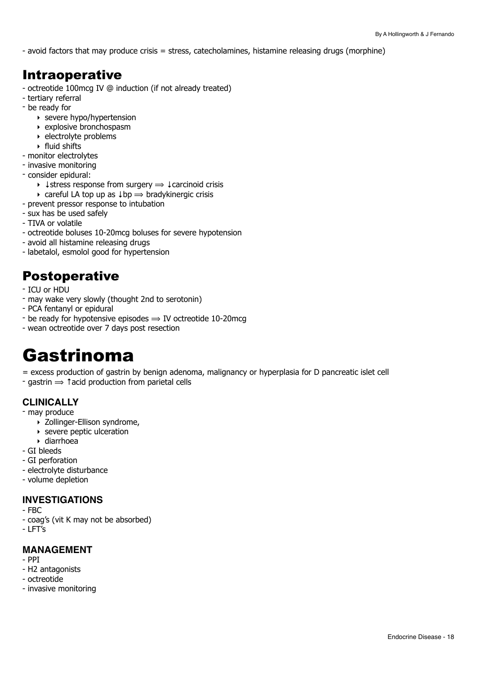- avoid factors that may produce crisis = stress, catecholamines, histamine releasing drugs (morphine)

### Intraoperative

- octreotide 100mcg IV @ induction (if not already treated)
- tertiary referral
- be ready for
	- ‣ severe hypo/hypertension
	- ‣ explosive bronchospasm
	- ‣ electrolyte problems
	- ‣ fluid shifts
- monitor electrolytes
- invasive monitoring
- consider epidural:
	- $\rightarrow \downarrow$  stress response from surgery  $\Rightarrow \downarrow$  carcinoid crisis
- $\rightarrow$  careful LA top up as  $\downarrow$  bp  $\Rightarrow$  bradykinergic crisis
- prevent pressor response to intubation
- sux has be used safely
- TIVA or volatile
- octreotide boluses 10-20mcg boluses for severe hypotension
- avoid all histamine releasing drugs
- labetalol, esmolol good for hypertension

## Postoperative

- ICU or HDU
- may wake very slowly (thought 2nd to serotonin)
- PCA fentanyl or epidural
- be ready for hypotensive episodes  $\Rightarrow$  IV octreotide 10-20mcg
- wean octreotide over 7 days post resection

## <span id="page-17-0"></span>Gastrinoma

= excess production of gastrin by benign adenoma, malignancy or hyperplasia for D pancreatic islet cell  $\text{-}$  gastrin  $\Rightarrow$   $\text{f}$  acid production from parietal cells

### **CLINICALLY**

- may produce
	- ‣ Zollinger-Ellison syndrome,
	- ‣ severe peptic ulceration
	- ‣ diarrhoea
- GI bleeds
- GI perforation
- electrolyte disturbance
- volume depletion

#### **INVESTIGATIONS**

- FBC
- coag's (vit K may not be absorbed)
- LFT's

#### **MANAGEMENT**

- PPI
- H2 antagonists
- octreotide
- invasive monitoring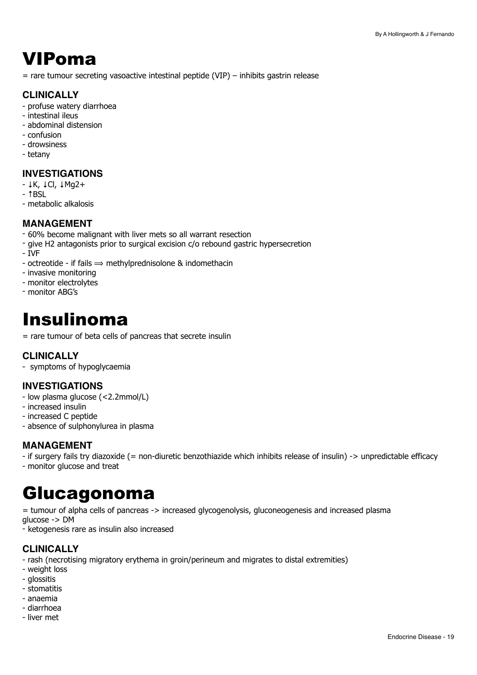## <span id="page-18-0"></span>VIPoma

 $=$  rare tumour secreting vasoactive intestinal peptide (VIP) – inhibits gastrin release

#### **CLINICALLY**

- profuse watery diarrhoea
- intestinal ileus
- abdominal distension
- confusion
- drowsiness
- tetany

#### **INVESTIGATIONS**

- ↓K, ↓Cl, ↓Mg2+
- ↑BSL
- metabolic alkalosis

#### **MANAGEMENT**

- 60% become malignant with liver mets so all warrant resection
- give H2 antagonists prior to surgical excision c/o rebound gastric hypersecretion
- IVF
- octreotide if fails  $\Rightarrow$  methylprednisolone & indomethacin
- invasive monitoring
- monitor electrolytes
- monitor ABG's

## <span id="page-18-1"></span>Insulinoma

= rare tumour of beta cells of pancreas that secrete insulin

#### **CLINICALLY**

- symptoms of hypoglycaemia

#### **INVESTIGATIONS**

- low plasma glucose (<2.2mmol/L)
- increased insulin
- increased C peptide
- absence of sulphonylurea in plasma

#### **MANAGEMENT**

- if surgery fails try diazoxide (= non-diuretic benzothiazide which inhibits release of insulin) -> unpredictable efficacy
- monitor glucose and treat

## <span id="page-18-2"></span>Glucagonoma

= tumour of alpha cells of pancreas -> increased glycogenolysis, gluconeogenesis and increased plasma glucose -> DM

- ketogenesis rare as insulin also increased

#### **CLINICALLY**

- rash (necrotising migratory erythema in groin/perineum and migrates to distal extremities)

- weight loss
- glossitis
- stomatitis
- anaemia
- diarrhoea
- liver met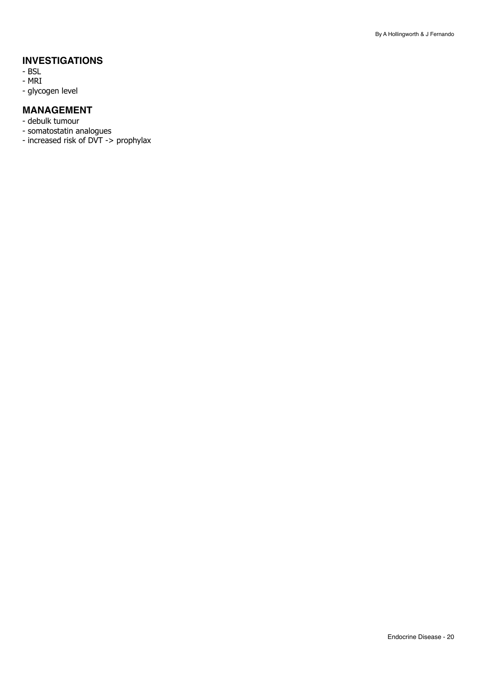#### **INVESTIGATIONS**

- BSL
- MRI
- glycogen level

#### **MANAGEMENT**

- debulk tumour
- somatostatin analogues
- increased risk of DVT -> prophylax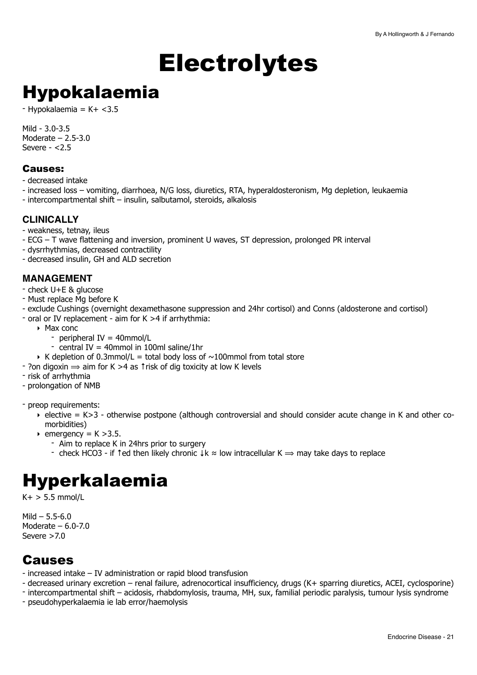# <span id="page-20-0"></span>**Electrolytes**

## <span id="page-20-1"></span>Hypokalaemia

 $-$  Hypokalaemia = K+ <3.5

Mild - 3.0-3.5 Moderate – 2.5-3.0 Severe  $<$  2.5

#### Causes:

- decreased intake

- increased loss vomiting, diarrhoea, N/G loss, diuretics, RTA, hyperaldosteronism, Mg depletion, leukaemia
- intercompartmental shift insulin, salbutamol, steroids, alkalosis

#### **CLINICALLY**

- weakness, tetnay, ileus
- ECG T wave flattening and inversion, prominent U waves, ST depression, prolonged PR interval
- dysrrhythmias, decreased contractility
- decreased insulin, GH and ALD secretion

#### **MANAGEMENT**

- check U+E & glucose
- Must replace Mg before K
- exclude Cushings (overnight dexamethasone suppression and 24hr cortisol) and Conns (aldosterone and cortisol)
- oral or IV replacement aim for K >4 if arrhythmia:
	- ‣ Max conc
		- peripheral IV = 40mmol/L
		- central IV = 40mmol in 100ml saline/1hr
	- $\triangleright$  K depletion of 0.3mmol/L = total body loss of  $\sim$ 100mmol from total store
- $\sim$  ?on digoxin  $\Rightarrow$  aim for K >4 as † risk of dig toxicity at low K levels
- risk of arrhythmia
- prolongation of NMB
- preop requirements:
	- ‣ elective = K>3 otherwise postpone (although controversial and should consider acute change in K and other comorbidities)
	- $\rightarrow$  emergency = K > 3.5.
		- Aim to replace K in 24hrs prior to surgery
		- check HCO3 if 1ed then likely chronic  $\downarrow k \approx$  low intracellular K  $\Rightarrow$  may take days to replace

## <span id="page-20-2"></span>Hyperkalaemia

 $K+$  > 5.5 mmol/L

 $Mild - 5.5 - 6.0$ Moderate  $-6.0$ -7.0 Severe >7.0

## **Causes**

- increased intake IV administration or rapid blood transfusion
- decreased urinary excretion renal failure, adrenocortical insufficiency, drugs (K+ sparring diuretics, ACEI, cyclosporine)
- intercompartmental shift acidosis, rhabdomylosis, trauma, MH, sux, familial periodic paralysis, tumour lysis syndrome
- pseudohyperkalaemia ie lab error/haemolysis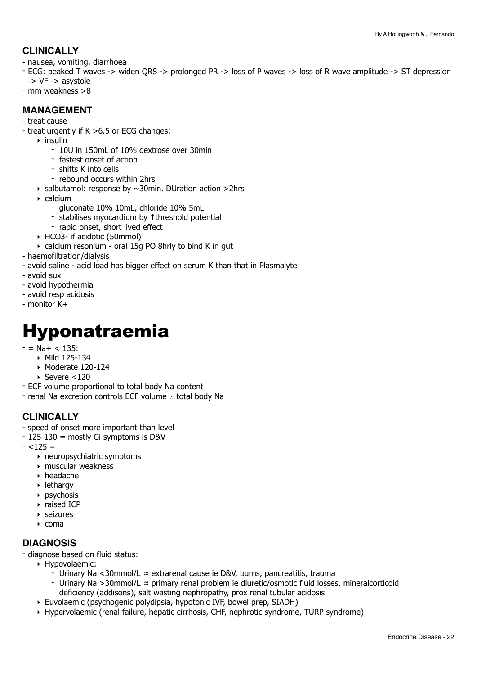#### **CLINICALLY**

- nausea, vomiting, diarrhoea
- ECG: peaked T waves -> widen QRS -> prolonged PR -> loss of P waves -> loss of R wave amplitude -> ST depression -> VF -> asystole
- mm weakness >8

#### **MANAGEMENT**

#### - treat cause

- treat urgently if K >6.5 or ECG changes:
	- $\triangleright$  insulin
		- 10U in 150mL of 10% dextrose over 30min
		- fastest onset of action
		- shifts K into cells
		- rebound occurs within 2hrs
	- $\rightarrow$  salbutamol: response by  $\sim$ 30min. DUration action >2hrs
	- ‣ calcium
		- gluconate 10% 10mL, chloride 10% 5mL
		- stabilises myocardium by ↑threshold potential
		- rapid onset, short lived effect
	- ‣ HCO3- if acidotic (50mmol)
	- ‣ calcium resonium oral 15g PO 8hrly to bind K in gut
- haemofiltration/dialysis
- avoid saline acid load has bigger effect on serum K than that in Plasmalyte
- avoid sux
- avoid hypothermia
- avoid resp acidosis
- monitor K+

## <span id="page-21-0"></span>Hyponatraemia

- $-$  = Na+  $<$  135:
	- ‣ Mild 125-134
	- ‣ Moderate 120-124
	- ‣ Severe <120
- ECF volume proportional to total body Na content
- renal Na excretion controls ECF volume ∴ total body Na

#### **CLINICALLY**

- speed of onset more important than level
- 125-130 = mostly Gi symptoms is D&V
- $< 125 =$ 
	- ‣ neuropsychiatric symptoms
	- ‣ muscular weakness
	- ‣ headache
	- ‣ lethargy
	- ‣ psychosis
	- ‣ raised ICP
	- ‣ seizures
	- $\triangleright$  coma

#### **DIAGNOSIS**

- diagnose based on fluid status:

- ‣ Hypovolaemic:
	- Urinary Na <30mmol/L ≈ extrarenal cause ie D&V, burns, pancreatitis, trauma
	- Urinary Na >30mmol/L ≈ primary renal problem ie diuretic/osmotic fluid losses, mineralcorticoid
	- deficiency (addisons), salt wasting nephropathy, prox renal tubular acidosis
- ‣ Euvolaemic (psychogenic polydipsia, hypotonic IVF, bowel prep, SIADH)
- ‣ Hypervolaemic (renal failure, hepatic cirrhosis, CHF, nephrotic syndrome, TURP syndrome)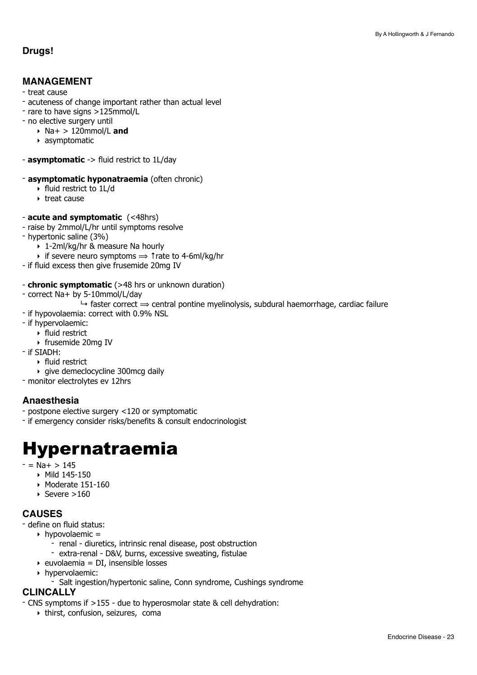#### **Drugs!**

#### **MANAGEMENT**

- treat cause
- acuteness of change important rather than actual level
- rare to have signs >125mmol/L
- no elective surgery until
	- ‣ Na+ > 120mmol/L **and**
	- ‣ asymptomatic
- **asymptomatic** -> fluid restrict to 1L/day
- **asymptomatic hyponatraemia** (often chronic)
	- ‣ fluid restrict to 1L/d
	- ‣ treat cause
- **acute and symptomatic** (<48hrs)
- raise by 2mmol/L/hr until symptoms resolve
- hypertonic saline (3%)
	- ‣ 1-2ml/kg/hr & measure Na hourly
	- $\rightarrow$  if severe neuro symptoms  $\rightarrow$  ↑rate to 4-6ml/kg/hr
- if fluid excess then give frusemide 20mg IV
- **chronic symptomatic** (>48 hrs or unknown duration)
- correct Na+ by 5-10mmol/L/day
	- $\rightarrow$  faster correct  $\rightarrow$  central pontine myelinolysis, subdural haemorrhage, cardiac failure
- if hypovolaemia: correct with 0.9% NSL
- if hypervolaemic:
	- ‣ fluid restrict
	- ‣ frusemide 20mg IV
- if SIADH:
	- ‣ fluid restrict
	- ‣ give demeclocycline 300mcg daily
- monitor electrolytes ev 12hrs

#### **Anaesthesia**

- postpone elective surgery <120 or symptomatic
- if emergency consider risks/benefits & consult endocrinologist

## <span id="page-22-0"></span>Hypernatraemia

- $-$  = Na+  $> 145$ 
	- ‣ Mild 145-150
		- ‣ Moderate 151-160
		- $\rightarrow$  Severe >160

#### **CAUSES**

- define on fluid status:
	- $\rightarrow$  hypovolaemic =
		- renal diuretics, intrinsic renal disease, post obstruction
		- extra-renal D&V, burns, excessive sweating, fistulae
	- $\rightarrow$  euvolaemia = DI, insensible losses
	- ‣ hypervolaemic:
		- Salt ingestion/hypertonic saline, Conn syndrome, Cushings syndrome

#### **CLINCALLY**

- CNS symptoms if >155 due to hyperosmolar state & cell dehydration:
	- ‣ thirst, confusion, seizures, coma